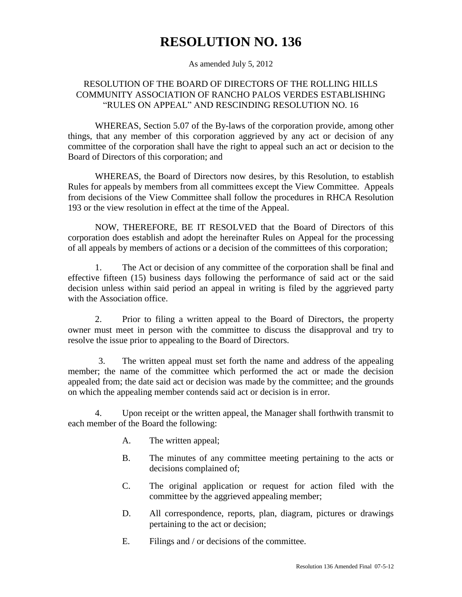## **RESOLUTION NO. 136**

As amended July 5, 2012

## RESOLUTION OF THE BOARD OF DIRECTORS OF THE ROLLING HILLS COMMUNITY ASSOCIATION OF RANCHO PALOS VERDES ESTABLISHING "RULES ON APPEAL" AND RESCINDING RESOLUTION NO. 16

WHEREAS, Section 5.07 of the By-laws of the corporation provide, among other things, that any member of this corporation aggrieved by any act or decision of any committee of the corporation shall have the right to appeal such an act or decision to the Board of Directors of this corporation; and

WHEREAS, the Board of Directors now desires, by this Resolution, to establish Rules for appeals by members from all committees except the View Committee. Appeals from decisions of the View Committee shall follow the procedures in RHCA Resolution 193 or the view resolution in effect at the time of the Appeal.

NOW, THEREFORE, BE IT RESOLVED that the Board of Directors of this corporation does establish and adopt the hereinafter Rules on Appeal for the processing of all appeals by members of actions or a decision of the committees of this corporation;

1. The Act or decision of any committee of the corporation shall be final and effective fifteen (15) business days following the performance of said act or the said decision unless within said period an appeal in writing is filed by the aggrieved party with the Association office.

2. Prior to filing a written appeal to the Board of Directors, the property owner must meet in person with the committee to discuss the disapproval and try to resolve the issue prior to appealing to the Board of Directors.

3. The written appeal must set forth the name and address of the appealing member; the name of the committee which performed the act or made the decision appealed from; the date said act or decision was made by the committee; and the grounds on which the appealing member contends said act or decision is in error.

4. Upon receipt or the written appeal, the Manager shall forthwith transmit to each member of the Board the following:

- A. The written appeal;
- B. The minutes of any committee meeting pertaining to the acts or decisions complained of;
- C. The original application or request for action filed with the committee by the aggrieved appealing member;
- D. All correspondence, reports, plan, diagram, pictures or drawings pertaining to the act or decision;
- E. Filings and / or decisions of the committee.